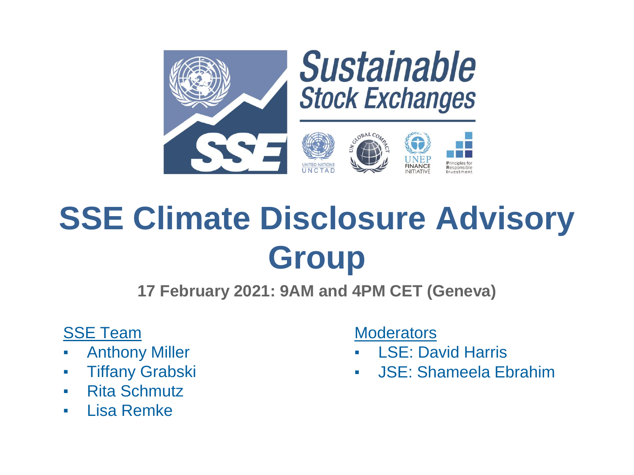

# **SSE Climate Disclosure Advisory Group**

**17 February 2021: 9AM and 4PM CET (Geneva)**

### SSE Team

- **Anthony Miller**
- Tiffany Grabski
- Rita Schmutz
- Lisa Remke

**Moderators** 

- **LSE: David Harris**
- **JSE: Shameela Ebrahim**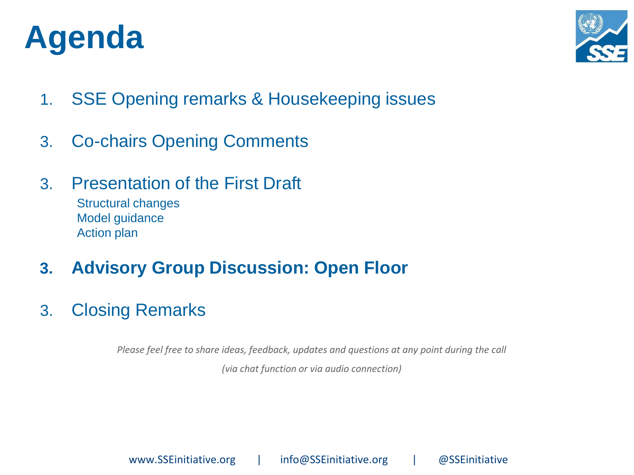## **Agenda**



- 1. SSE Opening remarks & Housekeeping issues
- 3. Co-chairs Opening Comments
- 3. Presentation of the First Draft

Structural changes Model guidance Action plan

- **3. Advisory Group Discussion: Open Floor**
- 3. Closing Remarks

*Please feel free to share ideas, feedback, updates and questions at any point during the call* 

*(via chat function or via audio connection)*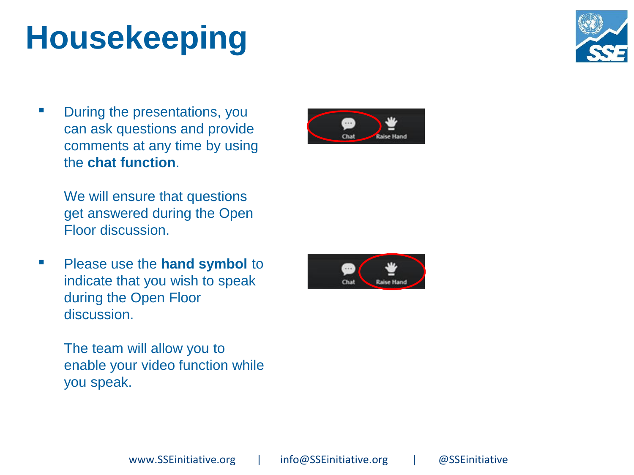# **Housekeeping**





We will ensure that questions get answered during the Open Floor discussion.

▪ Please use the **hand symbol** to indicate that you wish to speak during the Open Floor discussion.

> The team will allow you to enable your video function while you speak.



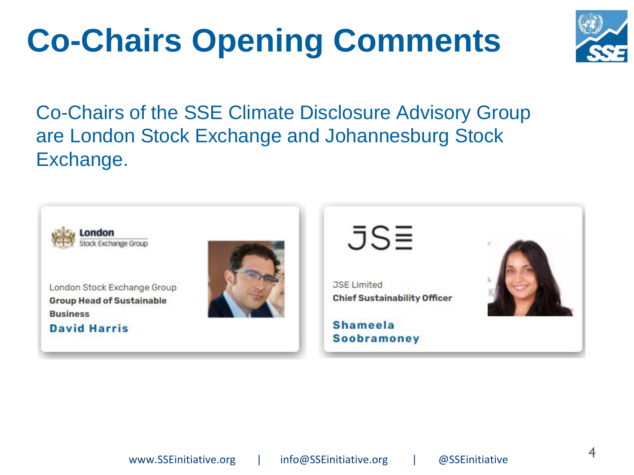# **Co-Chairs Opening Comments**



Co-Chairs of the SSE Climate Disclosure Advisory Group are London Stock Exchange and Johannesburg Stock Exchange.

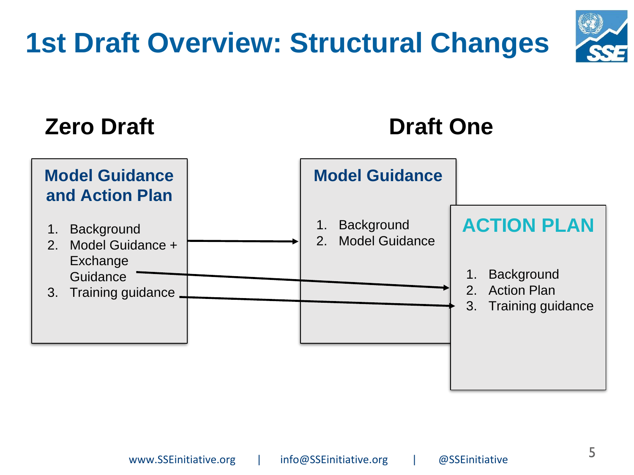# **1st Draft Overview: Structural Changes**

### **Zero Draft**

### **Draft One**



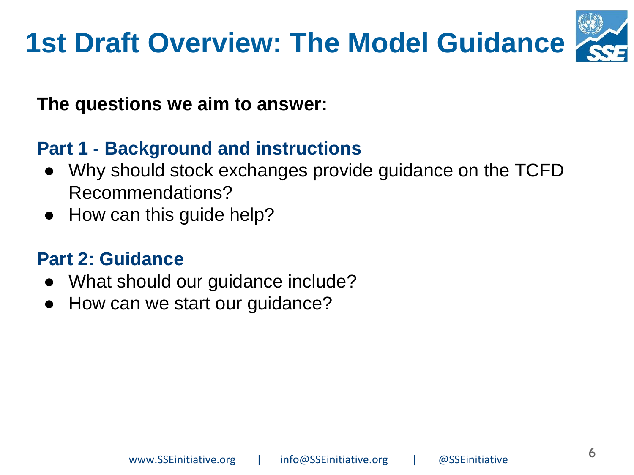## **1st Draft Overview: The Model Guidance**



**The questions we aim to answer:**

### **Part 1 - Background and instructions**

- Why should stock exchanges provide guidance on the TCFD Recommendations?
- How can this guide help?

### **Part 2: Guidance**

- What should our guidance include?
- How can we start our guidance?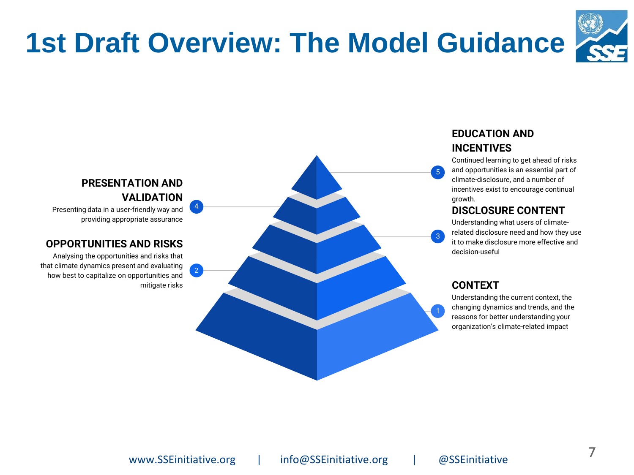## **1st Draft Overview: The Model Guidance**



#### **EDUCATION AND INCENTIVES**

Continued learning to get ahead of risks and opportunities is an essential part of climate-disclosure, and a number of incentives exist to encourage continual growth.

#### **DISCLOSURE CONTENT**

Understanding what users of climaterelated disclosure need and how they use it to make disclosure more effective and decision-useful

#### **CONTEXT**

5

Understanding the current context, the changing dynamics and trends, and the reasons for better understanding your organization's climate-related impact



#### **PRESENTATION AND VALIDATION**

Presenting data in a user-friendly way and providing appropriate assurance

#### **OPPORTUNITIES AND RISKS**

Analysing the opportunities and risks that that climate dynamics present and evaluating how best to capitalize on opportunities and mitigate risks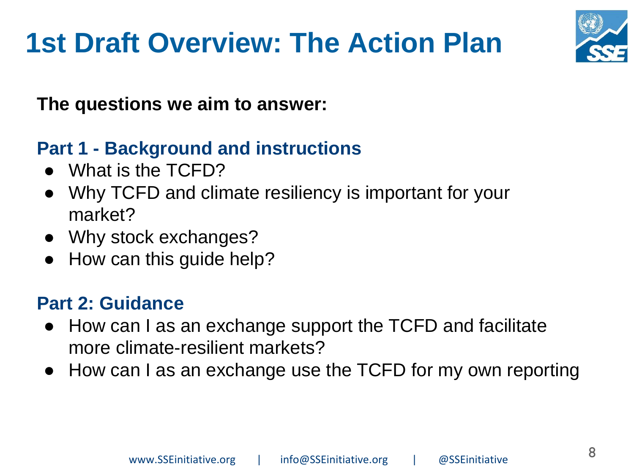## **1st Draft Overview: The Action Plan**



**The questions we aim to answer:**

### **Part 1 - Background and instructions**

- What is the TCFD?
- Why TCFD and climate resiliency is important for your market?
- Why stock exchanges?
- How can this guide help?

### **Part 2: Guidance**

- How can I as an exchange support the TCFD and facilitate more climate-resilient markets?
- How can I as an exchange use the TCFD for my own reporting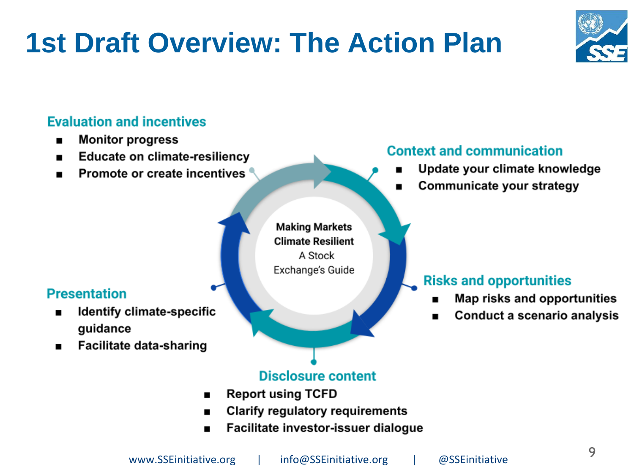## **1st Draft Overview: The Action Plan**



### **Evaluation and incentives**

- **Monitor progress**
- **Educate on climate-resiliency** .
- Promote or create incentives

### **Context and communication**

- Update your climate knowledge
- Communicate your strategy

#### **Presentation**

- Identify climate-specific guidance
- **Facilitate data-sharing** ■

**Making Markets Climate Resilient** A Stock Exchange's Guide

#### **Risks and opportunities**

- Map risks and opportunities
- Conduct a scenario analysis

### **Disclosure content**

- **Report using TCFD** ■
- **Clarify regulatory requirements**
- Facilitate investor-issuer dialogue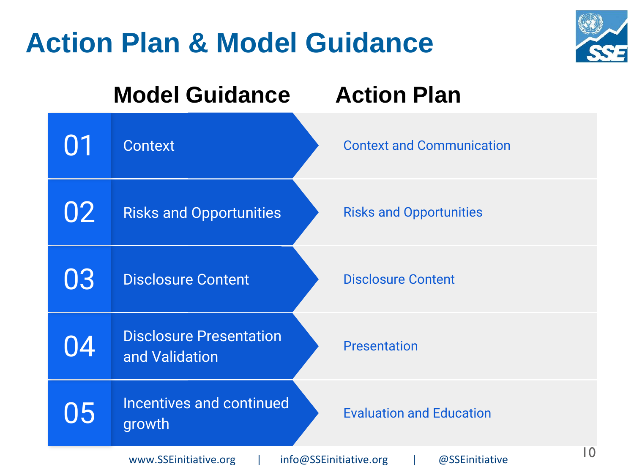### **Action Plan & Model Guidance**



|                                                                          | <b>Model Guidance</b>                            | <b>Action Plan</b>               |
|--------------------------------------------------------------------------|--------------------------------------------------|----------------------------------|
|                                                                          | <b>Context</b>                                   | <b>Context and Communication</b> |
| 02                                                                       | <b>Risks and Opportunities</b>                   | <b>Risks and Opportunities</b>   |
| 03                                                                       | <b>Disclosure Content</b>                        | <b>Disclosure Content</b>        |
| 04                                                                       | <b>Disclosure Presentation</b><br>and Validation | <b>Presentation</b>              |
| 05                                                                       | Incentives and continued<br>growth               | <b>Evaluation and Education</b>  |
| I O<br>www.SSEinitiative.org<br>info@SSEinitiative.org<br>@SSEinitiative |                                                  |                                  |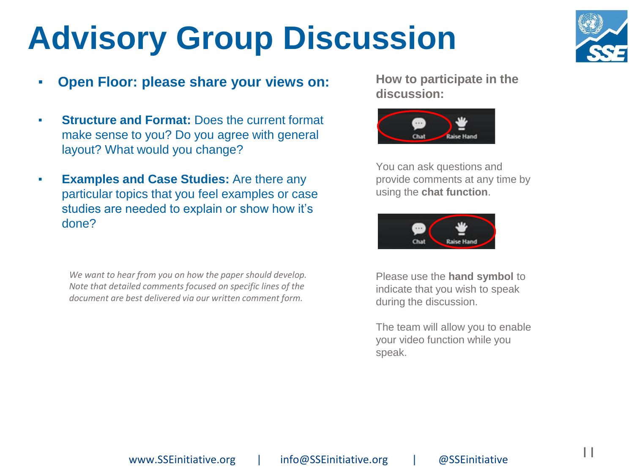# **Advisory Group Discussion**



- **Open Floor: please share your views on:**
- **Structure and Format:** Does the current format make sense to you? Do you agree with general layout? What would you change?
- **Examples and Case Studies:** Are there any particular topics that you feel examples or case studies are needed to explain or show how it's done?

*We want to hear from you on how the paper should develop. Note that detailed comments focused on specific lines of the document are best delivered via our written comment form.*

**How to participate in the discussion:**



You can ask questions and provide comments at any time by using the **chat function**.



Please use the **hand symbol** to indicate that you wish to speak during the discussion.

The team will allow you to enable your video function while you speak.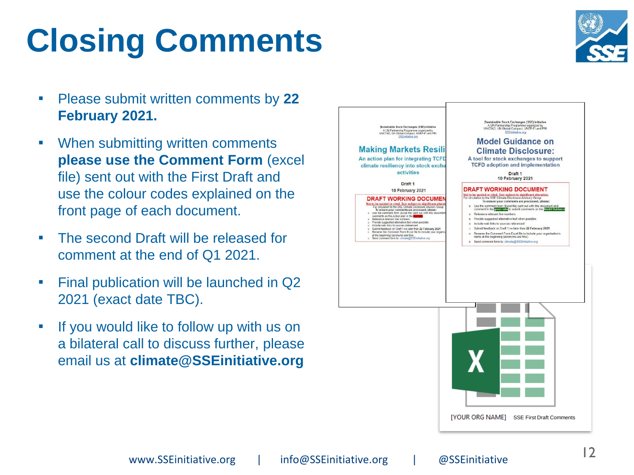### www.SSEinitiative.org | info@SSEinitiative.org | @SSEinitiative 12

# **Closing Comments**

- Please submit written comments by **22 February 2021.**
- When submitting written comments **please use the Comment Form** (excel file) sent out with the First Draft and use the colour codes explained on the front page of each document.
- The second Draft will be released for comment at the end of Q1 2021.
- Final publication will be launched in Q2 2021 (exact date TBC).
- **.** If you would like to follow up with us on a bilateral call to discuss further, please email us at **climate@SSEinitiative.org**